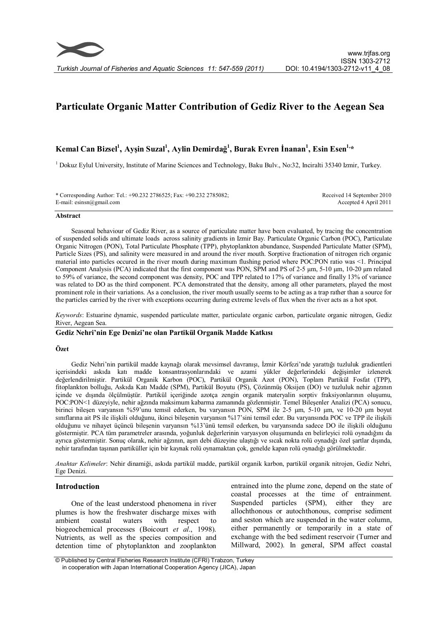

# **Particulate Organic Matter Contribution of Gediz River to the Aegean Sea**

# **Kemal Can Bizsel<sup>1</sup> , Ayşin Suzal<sup>1</sup> , Aylin Demirdağ 1 , Burak Evren İnanan<sup>1</sup> , Esin Esen1,\***

<sup>1</sup> Dokuz Eylul University, Institute of Marine Sciences and Technology, Baku Bulv., No:32, Inciralti 35340 Izmir, Turkey.

\* Corresponding Author: Tel.: +90.232 2786525; Fax: +90.232 2785082; E-mail: esinsn@gmail.com

Received 14 September 2010 Accepted 4 April 2011

# **Abstract**

Seasonal behaviour of Gediz River, as a source of particulate matter have been evaluated, by tracing the concentration of suspended solids and ultimate loads across salinity gradients in Izmir Bay. Particulate Organic Carbon (POC), Particulate Organic Nitrogen (PON), Total Particulate Phosphate (TPP), phytoplankton abundance, Suspended Particulate Matter (SPM), Particle Sizes (PS), and salinity were measured in and around the river mouth. Sorptive fractionation of nitrogen rich organic material into particles occured in the river mouth during maximum flushing period where POC:PON ratio was <1. Principal Component Analysis (PCA) indicated that the first component was PON, SPM and PS of 2-5 μm, 5-10 μm, 10-20 μm related to 59% of variance, the second component was density, POC and TPP related to 17% of variance and finally 13% of variance was related to DO as the third component. PCA demonstrated that the density, among all other parameters, played the most prominent role in their variations. As a conclusion, the river mouth usually seems to be acting as a trap rather than a source for the particles carried by the river with exceptions occurring during extreme levels of flux when the river acts as a hot spot.

*Keywords*: Estuarine dynamic, suspended particulate matter, particulate organic carbon, particulate organic nitrogen, Gediz River, Aegean Sea.

# **Gediz Nehri'nin Ege Denizi'ne olan Partikül Organik Madde Katkısı**

### **Özet**

Gediz Nehri'nin partikül madde kaynağı olarak mevsimsel davranışı, İzmir Körfezi'nde yarattığı tuzluluk gradientleri içerisindeki askıda katı madde konsantrasyonlarındaki ve azami yükler değerlerindeki değişimler izlenerek değerlendirilmiştir. Partikül Organik Karbon (POC), Partikül Organik Azot (PON), Toplam Partikül Fosfat (TPP), fitoplankton bolluğu, Askıda Katı Madde (SPM), Partikül Boyutu (PS), Çözünmüş Oksijen (DO) ve tuzluluk nehir ağzının içinde ve dışında ölçülmüştür. Partikül içeriğinde azotça zengin organik materyalin sorptiv fraksiyonlarının oluşumu, POC:PON<1 düzeyiyle, nehir ağzında maksimum kabarma zamanında gözlenmiştir. Temel Bileşenler Analizi (PCA) sonucu, birinci bileşen varyansın %59'unu temsil ederken, bu varyansın PON, SPM ile 2-5 μm, 5-10 μm, ve 10-20 μm boyut sınıflarına ait PS ile ilişkili olduğunu, ikinci bileşenin varyansın %17'sini temsil eder. Bu varyansında POC ve TPP ile ilişkili olduğunu ve nihayet üçüncü bileşenin varyansın %13'ünü temsil ederken, bu varyansında sadece DO ile ilişkili olduğunu göstermiştir. PCA tüm parametreler arasında, yoğunluk değerlerinin varyasyon oluşumunda en belirleyici rolü oynadığını da ayrıca göstermiştir. Sonuç olarak, nehir ağzının, aşırı debi düzeyine ulaştığı ve sıcak nokta rolü oynadığı özel şartlar dışında, nehir tarafından taşınan partiküller için bir kaynak rolü oynamaktan çok, genelde kapan rolü oynadığı görülmektedir.

*Anahtar Kelimeler*: Nehir dinamiği, askıda partikül madde, partikül organik karbon, partikül organik nitrojen, Gediz Nehri, Ege Denizi.

#### **Introduction**

One of the least understood phenomena in river plumes is how the freshwater discharge mixes with ambient coastal waters with respect to biogeochemical processes (Boicourt *et al*., 1998). Nutrients, as well as the species composition and detention time of phytoplankton and zooplankton

entrained into the plume zone, depend on the state of coastal processes at the time of entrainment. Suspended particles (SPM), either they are allochthonous or autochthonous, comprise sediment and seston which are suspended in the water column, either permanently or temporarily in a state of exchange with the bed sediment reservoir (Turner and Millward, 2002). In general, SPM affect coastal

 <sup>©</sup> Published by Central Fisheries Research Institute (CFRI) Trabzon, Turkey in cooperation with Japan International Cooperation Agency (JICA), Japan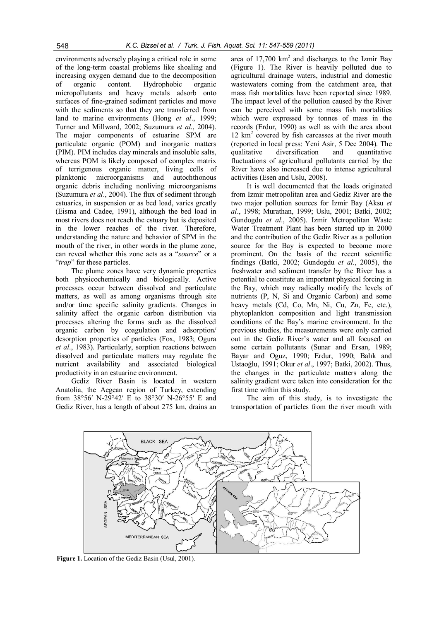environments adversely playing a critical role in some of the long-term coastal problems like shoaling and increasing oxygen demand due to the decomposition of organic content. Hydrophobic organic micropollutants and heavy metals adsorb onto surfaces of fine-grained sediment particles and move with the sediments so that they are transferred from land to marine environments (Hong *et al*., 1999; Turner and Millward, 2002; Suzumura *et al*., 2004). The major components of estuarine SPM are particulate organic (POM) and inorganic matters (PIM). PIM includes clay minerals and insoluble salts, whereas POM is likely composed of complex matrix of terrigenous organic matter, living cells of planktonic microorganisms and autochthonous organic debris including nonliving microorganisms (Suzumura *et al*., 2004). The flux of sediment through estuaries, in suspension or as bed load, varies greatly (Eisma and Cadee, 1991), although the bed load in most rivers does not reach the estuary but is deposited in the lower reaches of the river. Therefore, understanding the nature and behavior of SPM in the mouth of the river, in other words in the plume zone, can reveal whether this zone acts as a "*source*" or a "*trap*" for these particles.

The plume zones have very dynamic properties both physicochemically and biologically. Active processes occur between dissolved and particulate matters, as well as among organisms through site and/or time specific salinity gradients. Changes in salinity affect the organic carbon distribution via processes altering the forms such as the dissolved organic carbon by coagulation and adsorption/ desorption properties of particles (Fox, 1983; Ogura *et al*., 1983). Particularly, sorption reactions between dissolved and particulate matters may regulate the nutrient availability and associated biological productivity in an estuarine environment.

Gediz River Basin is located in western Anatolia, the Aegean region of Turkey, extending from 38°56′ N-29°42′ E to 38°30′ N-26°55′ E and Gediz River, has a length of about 275 km, drains an

area of  $17,700$  km<sup>2</sup> and discharges to the Izmir Bay (Figure 1). The River is heavily polluted due to agricultural drainage waters, industrial and domestic wastewaters coming from the catchment area, that mass fish mortalities have been reported since 1989. The impact level of the pollution caused by the River can be perceived with some mass fish mortalities which were expressed by tonnes of mass in the records (Erdur, 1990) as well as with the area about 12 km<sup>2</sup> covered by fish carcasses at the river mouth (reported in local press: Yeni Asir, 5 Dec 2004). The qualitative diversification and quantitative fluctuations of agricultural pollutants carried by the River have also increased due to intense agricultural activities (Esen and Uslu, 2008).

It is well documented that the loads originated from Izmir metropolitan area and Gediz River are the two major pollution sources for Izmir Bay (Aksu *et al*., 1998; Murathan, 1999; Uslu, 2001; Batki, 2002; Gundogdu *et al*., 2005). Izmir Metropolitan Waste Water Treatment Plant has been started up in 2000 and the contribution of the Gediz River as a pollution source for the Bay is expected to become more prominent. On the basis of the recent scientific findings (Batki, 2002; Gundogdu *et al*., 2005), the freshwater and sediment transfer by the River has a potential to constitute an important physical forcing in the Bay, which may radically modify the levels of nutrients (P, N, Si and Organic Carbon) and some heavy metals (Cd, Co, Mn, Ni, Cu, Zn, Fe, etc.), phytoplankton composition and light transmission conditions of the Bay's marine environment. In the previous studies, the measurements were only carried out in the Gediz River's water and all focused on some certain pollutants (Sunar and Ersan, 1989; Bayar and Oguz, 1990; Erdur, 1990; Balık and Ustaoğlu, 1991; Okur *et al*., 1997; Batki, 2002). Thus, the changes in the particulate matters along the salinity gradient were taken into consideration for the first time within this study.

The aim of this study, is to investigate the transportation of particles from the river mouth with



**Figure 1.** Location of the Gediz Basin (Usul, 2001).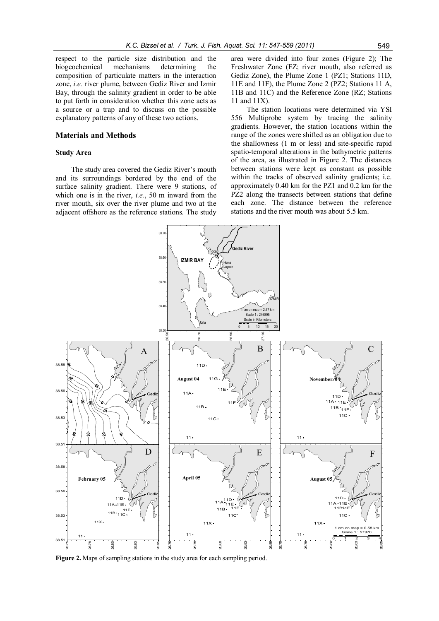respect to the particle size distribution and the biogeochemical mechanisms determining the biogeochemical mechanisms determining the composition of particulate matters in the interaction zone, *i.e.* river plume, between Gediz River and Izmir Bay, through the salinity gradient in order to be able to put forth in consideration whether this zone acts as a source or a trap and to discuss on the possible explanatory patterns of any of these two actions.

# **Materials and Methods**

# **Study Area**

The study area covered the Gediz River's mouth and its surroundings bordered by the end of the surface salinity gradient. There were 9 stations, of which one is in the river, *i.e.*, 50 m inward from the river mouth, six over the river plume and two at the adjacent offshore as the reference stations. The study

area were divided into four zones (Figure 2); The Freshwater Zone (FZ; river mouth, also referred as Gediz Zone), the Plume Zone 1 (PZ1; Stations 11D, 11E and 11F), the Plume Zone 2 (PZ2; Stations 11 A, 11B and 11C) and the Reference Zone (RZ; Stations 11 and 11X).

The station locations were determined via YSI 556 Multiprobe system by tracing the salinity gradients. However, the station locations within the range of the zones were shifted as an obligation due to the shallowness (1 m or less) and site-specific rapid spatio-temporal alterations in the bathymetric patterns of the area, as illustrated in Figure 2. The distances between stations were kept as constant as possible within the tracks of observed salinity gradients; i.e. approximately 0.40 km for the PZ1 and 0.2 km for the PZ2 along the transects between stations that define each zone. The distance between the reference stations and the river mouth was about 5.5 km.



**Figure 2.** Maps of sampling stations in the study area for each sampling period.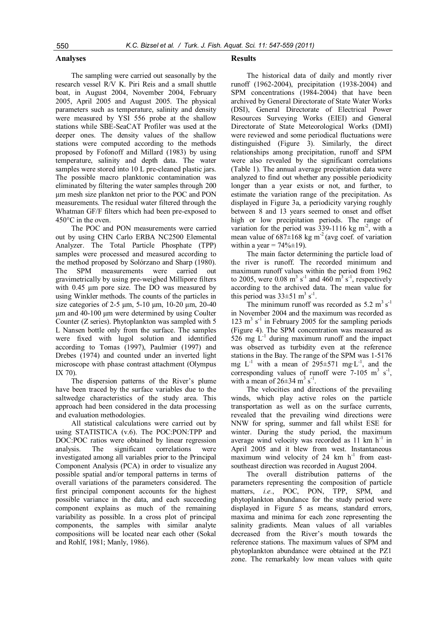# **Analyses**

The sampling were carried out seasonally by the research vessel R/V K. Piri Reis and a small shuttle boat, in August 2004, November 2004, February 2005, April 2005 and August 2005. The physical parameters such as temperature, salinity and density were measured by YSI 556 probe at the shallow stations while SBE-SeaCAT Profiler was used at the deeper ones. The density values of the shallow stations were computed according to the methods proposed by Fofonoff and Millard (1983) by using temperature, salinity and depth data. The water samples were stored into 10 L pre-cleaned plastic jars. The possible macro planktonic contamination was eliminated by filtering the water samples through 200 μm mesh size plankton net prior to the POC and PON measurements. The residual water filtered through the Whatman GF/F filters which had been pre-exposed to 450°C in the oven.

The POC and PON measurements were carried out by using CHN Carlo ERBA NC2500 Elemental Analyzer. The Total Particle Phosphate (TPP) samples were processed and measured according to the method proposed by Solórzano and Sharp (1980). The SPM measurements were carried out gravimetrically by using pre-weighed Millipore filters with 0.45 μm pore size. The DO was measured by using Winkler methods. The counts of the particles in size categories of 2-5 μm, 5-10 μm, 10-20 μm, 20-40 μm and 40-100 μm were determined by using Coulter Counter (Z series). Phytoplankton was sampled with 5 L Nansen bottle only from the surface. The samples were fixed with lugol solution and identified according to Tomas (1997), Paulmier (1997) and Drebes (1974) and counted under an inverted light microscope with phase contrast attachment (Olympus IX 70).

The dispersion patterns of the River's plume have been traced by the surface variables due to the saltwedge characteristics of the study area. This approach had been considered in the data processing and evaluation methodologies.

All statistical calculations were carried out by using STATISTICA (v.6). The POC:PON:TPP and DOC:POC ratios were obtained by linear regression analysis. The significant correlations were investigated among all variables prior to the Principal Component Analysis (PCA) in order to visualize any possible spatial and/or temporal patterns in terms of overall variations of the parameters considered. The first principal component accounts for the highest possible variance in the data, and each succeeding component explains as much of the remaining variability as possible. In a cross plot of principal components, the samples with similar analyte compositions will be located near each other (Sokal and Rohlf, 1981; Manly, 1986).

### **Results**

The historical data of daily and montly river runoff (1962-2004), precipitation (1938-2004) and SPM concentrations (1984-2004) that have been archived by General Directorate of State Water Works (DSI), General Directorate of Electrical Power Resources Surveying Works (EIEI) and General Directorate of State Meteorological Works (DMI) were reviewed and some periodical fluctuations were distinguished (Figure 3). Similarly, the direct relationships among precipitation, runoff and SPM were also revealed by the significant correlations (Table 1). The annual average precipitation data were analyzed to find out whether any possible periodicity longer than a year exists or not, and further, to estimate the variation range of the precipitation. As displayed in Figure 3a, a periodicity varying roughly between 8 and 13 years seemed to onset and offset high or low precipitation periods. The range of variation for the period was  $339-1116$  kg m<sup>-2</sup>, with a mean value of  $687\pm168$  kg m<sup>-2</sup> (avg coef. of variation within a year =  $74\% \pm 19$ ).

The main factor determining the particle load of the river is runoff. The recorded minimum and maximum runoff values within the period from 1962 to 2005, were 0.08  $\text{m}^3$  s<sup>-1</sup> and 460  $\text{m}^3$  s<sup>-1</sup>, respectively according to the archived data. The mean value for this period was  $33\pm51$  m<sup>3</sup> s<sup>-1</sup>.

The minimum runoff was recorded as  $5.2 \text{ m}^3 \text{ s}^{-1}$ in November 2004 and the maximum was recorded as 123  $\text{m}^3$  s<sup>-1</sup> in February 2005 for the sampling periods (Figure 4). The SPM concentration was measured as  $526$  mg  $L^{-1}$  during maximum runoff and the impact was observed as turbidity even at the reference stations in the Bay. The range of the SPM was 1-5176 mg  $L^{-1}$  with a mean of 295 $\pm$ 571 mg·L<sup>-1</sup>, and the corresponding values of runoff were  $7-105$  m<sup>3</sup> s<sup>-1</sup>, with a mean of  $26\pm34$  m<sup>3</sup> s<sup>-1</sup>.

The velocities and directions of the prevailing winds, which play active roles on the particle transportation as well as on the surface currents, revealed that the prevailing wind directions were NNW for spring, summer and fall whilst ESE for winter. During the study period, the maximum average wind velocity was recorded as  $11 \text{ km h}^{-1}$  in April 2005 and it blew from west. Instantaneous maximum wind velocity of 24 km  $h^{-1}$  from eastsoutheast direction was recorded in August 2004.

The overall distribution patterns of the parameters representing the composition of particle matters, *i.e.*, POC, PON, TPP, SPM, and phytoplankton abundance for the study period were displayed in Figure 5 as means, standard errors, maxima and minima for each zone representing the salinity gradients. Mean values of all variables decreased from the River's mouth towards the reference stations. The maximum values of SPM and phytoplankton abundance were obtained at the PZ1 zone. The remarkably low mean values with quite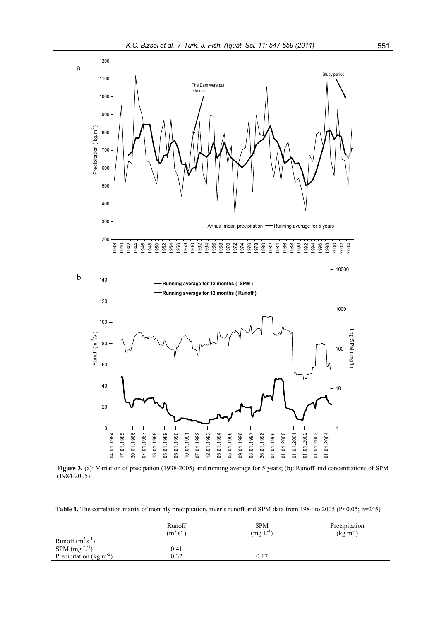

**Figure 3.** (a): Variation of precipation (1938-2005) and running average for 5 years; (b): Runoff and concentrations of SPM (1984-2005).

**Table 1.** The correlation matrix of monthly precipitation, river's runoff and SPM data from 1984 to 2005 (P<0.05; n=245)

|                                   | Runoff<br>$(m^3 s^{-1})$ | <b>SPM</b><br>$\text{Im} \mathbf{L}^{-1}$ | Precipitation<br>$(\text{kg m}^2)$ |
|-----------------------------------|--------------------------|-------------------------------------------|------------------------------------|
| Runoff $(m^3 s^{-1})$             |                          |                                           |                                    |
| $SPM$ (mg $L^{-1}$ )              | 0.41                     |                                           |                                    |
| Precipitation ( $\text{kg m}^2$ ) | 0.32                     | í T                                       |                                    |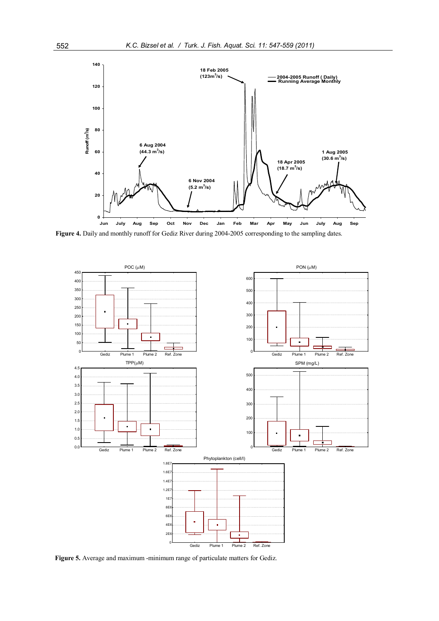

**Figure 4.** Daily and monthly runoff for Gediz River during 2004-2005 corresponding to the sampling dates.



**Figure 5.** Average and maximum -minimum range of particulate matters for Gediz.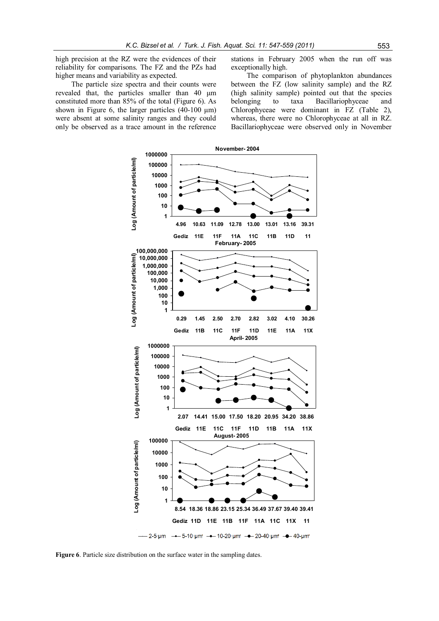high precision at the RZ were the evidences of their reliability for comparisons. The FZ and the PZs had higher means and variability as expected.

The particle size spectra and their counts were revealed that, the particles smaller than 40 μm constituted more than 85% of the total (Figure 6). As shown in Figure 6, the larger particles (40-100 μm) were absent at some salinity ranges and they could only be observed as a trace amount in the reference

stations in February 2005 when the run off was exceptionally high.

The comparison of phytoplankton abundances between the FZ (low salinity sample) and the RZ (high salinity sample) pointed out that the species belonging to taxa Bacillariophyceae and Chlorophyceae were dominant in FZ (Table 2), whereas, there were no Chlorophyceae at all in RZ. Bacillariophyceae were observed only in November



**Figure 6**. Particle size distribution on the surface water in the sampling dates.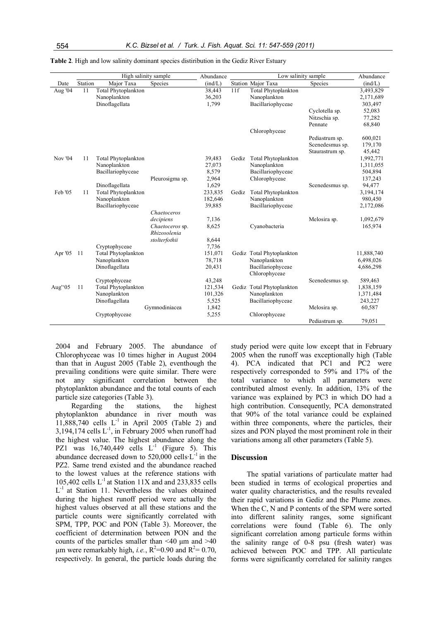|         |         | High salinity sample       |                                 | Abundance |       | Low salinity sample        | Abundance       |            |
|---------|---------|----------------------------|---------------------------------|-----------|-------|----------------------------|-----------------|------------|
| Date    | Station | Major Taxa                 | Species                         | (ind/L)   |       | <b>Station Major Taxa</b>  | Species         | (ind/L)    |
| Aug '04 | 11      | Total Phytoplankton        |                                 | 38,443    | 11f   | Total Phytoplankton        |                 | 3,493,829  |
|         |         | Nanoplankton               |                                 | 36,203    |       | Nanoplankton               |                 | 2,171,689  |
|         |         | Dinoflagellata             |                                 | 1,799     |       | Bacillariophyceae          |                 | 303,497    |
|         |         |                            |                                 |           |       |                            | Cyclotella sp.  | 52,083     |
|         |         |                            |                                 |           |       |                            | Nitzschia sp.   | 77,282     |
|         |         |                            |                                 |           |       |                            | Pennate         | 68,840     |
|         |         |                            |                                 |           |       | Chlorophyceae              |                 |            |
|         |         |                            |                                 |           |       |                            | Pediastrum sp.  | 600,021    |
|         |         |                            |                                 |           |       |                            | Scenedesmus sp. | 179,170    |
|         |         |                            |                                 |           |       |                            | Staurastrum sp. | 45,442     |
| Nov '04 | 11      | Total Phytoplankton        |                                 | 39,483    | Gediz | <b>Total Phytoplankton</b> |                 | 1,992,771  |
|         |         | Nanoplankton               |                                 | 27,073    |       | Nanoplankton               |                 | 1,311,055  |
|         |         | Bacillariophyceae          |                                 | 8,579     |       | Bacillariophyceae          |                 | 504,894    |
|         |         |                            | Pleurosigma sp.                 | 2,964     |       | Chlorophyceae              |                 | 137,243    |
|         |         | Dinoflagellata             |                                 | 1,629     |       |                            | Scenedesmus sp. | 94,477     |
| Feb '05 | 11      | <b>Total Phytoplankton</b> |                                 | 233,835   | Gediz | Total Phytoplankton        |                 | 3,194,174  |
|         |         | Nanoplankton               |                                 | 182,646   |       | Nanoplankton               |                 | 980,450    |
|         |         | Bacillariophyceae          |                                 | 39,885    |       | Bacillariophyceae          |                 | 2,172,086  |
|         |         |                            | Chaetoceros                     |           |       |                            |                 |            |
|         |         |                            | decipiens                       | 7,136     |       |                            | Melosira sp.    | 1,092,679  |
|         |         |                            | Chaetoceros sp.<br>Rhizosolenia | 8,625     |       | Cvanobacteria              |                 | 165,974    |
|         |         |                            | stolterfothii                   | 8,644     |       |                            |                 |            |
|         |         | Cryptophyceae              |                                 | 7,736     |       |                            |                 |            |
| Apr '05 | 11      | <b>Total Phytoplankton</b> |                                 | 151,071   |       | Gediz Total Phytoplankton  |                 | 11,888,740 |
|         |         | Nanoplankton               |                                 | 78,718    |       | Nanoplankton               |                 | 6,498,026  |
|         |         | Dinoflagellata             |                                 | 20,431    |       | Bacillariophyceae          |                 | 4,686,298  |
|         |         |                            |                                 |           |       | Chlorophyceae              |                 |            |
|         |         | Cryptophyceae              |                                 | 43,248    |       |                            | Scenedesmus sp. | 589,463    |
| Aug"05  | 11      | <b>Total Phytoplankton</b> |                                 | 121,534   |       | Gediz Total Phytoplankton  |                 | 1,838,159  |
|         |         | Nanoplankton               |                                 | 101,326   |       | Nanoplankton               |                 | 1,371,484  |
|         |         | Dinoflagellata             |                                 | 5,525     |       | Bacillariophyceae          |                 | 243,227    |
|         |         |                            | Gymnodiniacea                   | 1,842     |       |                            | Melosira sp.    | 60,587     |
|         |         | Cryptophyceae              |                                 | 5,255     |       | Chlorophyceae              |                 |            |
|         |         |                            |                                 |           |       |                            | Pediastrum sp.  | 79,051     |

**Table 2**. High and low salinity dominant species distiribution in the Gediz River Estuary

2004 and February 2005. The abundance of Chlorophyceae was 10 times higher in August 2004 than that in August 2005 (Table 2), eventhough the prevailing conditions were quite similar. There were not any significant correlation between the phytoplankton abundance and the total counts of each particle size categories (Table 3).

Regarding the stations, the highest phytoplankton abundance in river mouth was 11,888,740 cells  $L^{-1}$  in April 2005 (Table 2) and 3,194,174 cells  $L^{-1}$ , in February 2005 when runoff had the highest value. The highest abundance along the PZ1 was  $16,740,449$  cells  $L^{-1}$  (Figure 5). This abundance decreased down to  $520,000$  cells  $L^{-1}$  in the PZ2. Same trend existed and the abundance reached to the lowest values at the reference stations with 105,402 cells  $L^{-1}$  at Station 11X and and 233,835 cells L<sup>-1</sup> at Station 11. Nevertheless the values obtained during the highest runoff period were actually the highest values observed at all these stations and the particle counts were significantly correlated with SPM, TPP, POC and PON (Table 3). Moreover, the coefficient of determination between PON and the counts of the particles smaller than  $\leq 40$  µm and  $\geq 40$ μm were remarkably high, *i.e.*,  $R^2$ =0.90 and  $R^2$ = 0.70, respectively. In general, the particle loads during the study period were quite low except that in February 2005 when the runoff was exceptionally high (Table 4). PCA indicated that PC1 and PC2 were respectively corresponded to 59% and 17% of the total variance to which all parameters were contributed almost evenly. In addition, 13% of the variance was explained by PC3 in which DO had a high contribution. Consequently, PCA demonstrated that 90% of the total variance could be explained within three components, where the particles, their sizes and PON played the most prominent role in their variations among all other parameters (Table 5).

# **Discussion**

The spatial variations of particulate matter had been studied in terms of ecological properties and water quality characteristics, and the results revealed their rapid variations in Gediz and the Plume zones. When the C, N and P contents of the SPM were sorted into different salinity ranges, some significant correlations were found (Table 6). The only significant correlation among particule forms within the salinity range of 0-8 psu (fresh water) was achieved between POC and TPP. All particulate forms were significantly correlated for salinity ranges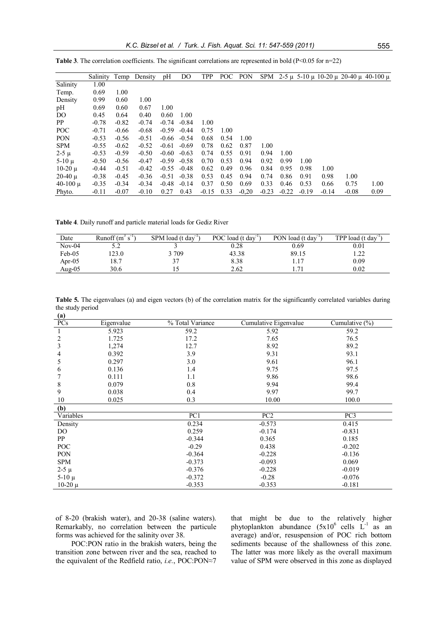|              | Salinity | Temp    | Density | pH      | DO      | <b>TPP</b> | POC  | PON     |         |         |         |         |         | SPM $2-5 \mu$ 5-10 $\mu$ 10-20 $\mu$ 20-40 $\mu$ 40-100 $\mu$ |
|--------------|----------|---------|---------|---------|---------|------------|------|---------|---------|---------|---------|---------|---------|---------------------------------------------------------------|
| Salinity     | 1.00     |         |         |         |         |            |      |         |         |         |         |         |         |                                                               |
| Temp.        | 0.69     | 1.00    |         |         |         |            |      |         |         |         |         |         |         |                                                               |
| Density      | 0.99     | 0.60    | 1.00    |         |         |            |      |         |         |         |         |         |         |                                                               |
| pH           | 0.69     | 0.60    | 0.67    | 1.00    |         |            |      |         |         |         |         |         |         |                                                               |
| DO           | 0.45     | 0.64    | 0.40    | 0.60    | 1.00    |            |      |         |         |         |         |         |         |                                                               |
| PP           | $-0.78$  | $-0.82$ | $-0.74$ | $-0.74$ | $-0.84$ | 1.00       |      |         |         |         |         |         |         |                                                               |
| <b>POC</b>   | $-0.71$  | $-0.66$ | $-0.68$ | $-0.59$ | $-0.44$ | 0.75       | 1.00 |         |         |         |         |         |         |                                                               |
| <b>PON</b>   | $-0.53$  | $-0.56$ | $-0.51$ | $-0.66$ | $-0.54$ | 0.68       | 0.54 | 1.00    |         |         |         |         |         |                                                               |
| <b>SPM</b>   | $-0.55$  | $-0.62$ | $-0.52$ | $-0.61$ | $-0.69$ | 0.78       | 0.62 | 0.87    | 1.00    |         |         |         |         |                                                               |
| $2 - 5 \mu$  | $-0.53$  | $-0.59$ | $-0.50$ | $-0.60$ | $-0.63$ | 0.74       | 0.55 | 0.91    | 0.94    | 1.00    |         |         |         |                                                               |
| $5-10 \mu$   | $-0.50$  | $-0.56$ | $-0.47$ | $-0.59$ | $-0.58$ | 0.70       | 0.53 | 0.94    | 0.92    | 0.99    | 1.00    |         |         |                                                               |
| $10-20 \mu$  | $-0.44$  | $-0.51$ | $-0.42$ | $-0.55$ | $-0.48$ | 0.62       | 0.49 | 0.96    | 0.84    | 0.95    | 0.98    | 1.00    |         |                                                               |
| $20-40 \mu$  | $-0.38$  | $-0.45$ | $-0.36$ | $-0.51$ | $-0.38$ | 0.53       | 0.45 | 0.94    | 0.74    | 0.86    | 0.91    | 0.98    | 1.00    |                                                               |
| $40-100 \mu$ | $-0.35$  | $-0.34$ | $-0.34$ | $-0.48$ | $-0.14$ | 0.37       | 0.50 | 0.69    | 0.33    | 0.46    | 0.53    | 0.66    | 0.75    | 1.00                                                          |
| Phyto.       | $-0.11$  | $-0.07$ | $-0.10$ | 0.27    | 0.43    | $-0.15$    | 0.33 | $-0.20$ | $-0.23$ | $-0.22$ | $-0.19$ | $-0.14$ | $-0.08$ | 0.09                                                          |

**Table 3**. The correlation coefficients. The significant correlations are represented in bold ( $P<0.05$  for  $n=22$ )

**Table 4**. Daily runoff and particle material loads for Gediz River

| Date      | Runoff $(m^3 s^{-1})$ | SPM load (t day <sup>1</sup> ) | POC load (t day <sup>1</sup> ) | PON load (t day " | TPP load (t day $\Gamma$ |
|-----------|-----------------------|--------------------------------|--------------------------------|-------------------|--------------------------|
| $Nov-04$  | ے ۔                   |                                | 0.28                           | 0.69              | 0.01                     |
| Feb-05    | 123.0                 | 709                            | 43.38                          | 89.15             | $\mathcal{D}$<br>1.44    |
| Apr-05    | 18.7                  | $\sim$                         | 8.38                           | 1.17              | 0.09                     |
| Aug- $05$ | 30.6                  |                                | 2.62                           | $7^{\circ}$       | 0.02                     |

**Table 5.** The eigenvalues (a) and eigen vectors (b) of the correlation matrix for the significantly correlated variables during the study period **(a)**

| $\mathbf{u}$<br>PCs | Eigenvalue | % Total Variance | Cumulative Eigenvalue | Cumulative $(\% )$ |
|---------------------|------------|------------------|-----------------------|--------------------|
|                     | 5.923      | 59.2             | 5.92                  | 59.2               |
| 2                   | 1.725      | 17.2             | 7.65                  | 76.5               |
| 3                   | 1,274      | 12.7             | 8.92                  | 89.2               |
| 4                   | 0.392      | 3.9              | 9.31                  | 93.1               |
| 5                   | 0.297      | 3.0              | 9.61                  | 96.1               |
| 6                   | 0.136      | 1.4              | 9.75                  | 97.5               |
|                     | 0.111      | 1.1              | 9.86                  | 98.6               |
| 8                   | 0.079      | $0.8\,$          | 9.94                  | 99.4               |
| 9                   | 0.038      | 0.4              | 9.97                  | 99.7               |
| 10                  | 0.025      | 0.3              | 10.00                 | 100.0              |
| (b)                 |            |                  |                       |                    |
| Variables           |            | PC1              | PC <sub>2</sub>       | PC3                |
| Density             |            | 0.234            | $-0.573$              | 0.415              |
| DO.                 |            | 0.259            | $-0.174$              | $-0.831$           |
| PP                  |            | $-0.344$         | 0.365                 | 0.185              |
| POC                 |            | $-0.29$          | 0.438                 | $-0.202$           |
| PON                 |            | $-0.364$         | $-0.228$              | $-0.136$           |
| <b>SPM</b>          |            | $-0.373$         | $-0.093$              | 0.069              |
| $2-5 \mu$           |            | $-0.376$         | $-0.228$              | $-0.019$           |
| $5-10 \mu$          |            | $-0.372$         | $-0.28$               | $-0.076$           |
| $10-20$ μ           |            | $-0.353$         | $-0.353$              | $-0.181$           |

of 8-20 (brakish water), and 20-38 (saline waters). Remarkably, no correlation between the particule forms was achieved for the salinity over 38.

POC:PON ratio in the brakish waters, being the transition zone between river and the sea, reached to the equivalent of the Redfield ratio, *i.e.*, POC:PON≈7

that might be due to the relatively higher phytoplankton abundance  $(5x10^6 \text{ cells } L^{-1} \text{ as an})$ average) and/or, resuspension of POC rich bottom sediments because of the shallowness of this zone. The latter was more likely as the overall maximum value of SPM were observed in this zone as displayed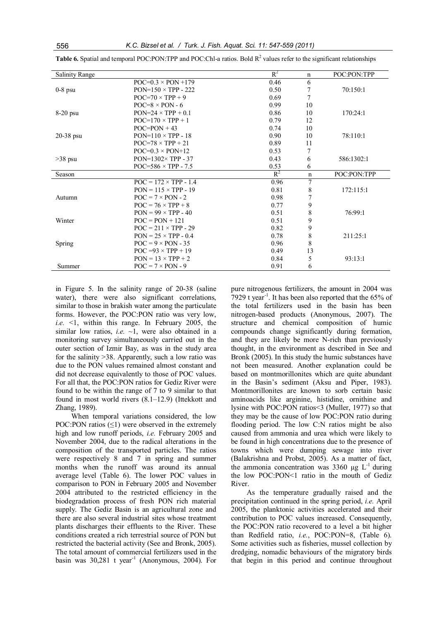| <b>Salinity Range</b> |                              | $R^2$ | n              | POC:PON:TPP |
|-----------------------|------------------------------|-------|----------------|-------------|
|                       | $POC=0.3 \times PON + 179$   | 0.46  | 6              |             |
| $0-8$ psu             | $PON=150 \times TPP - 222$   | 0.50  | 7              | 70:150:1    |
|                       | $POC=70 \times TPP + 9$      | 0.69  | $\overline{7}$ |             |
|                       | $POC=8 \times PON - 6$       | 0.99  | 10             |             |
| $8-20$ psu            | $PON=24 \times TPP + 0.1$    | 0.86  | 10             | 170:24:1    |
|                       | $POC=170 \times TPP + 1$     | 0.79  | 12             |             |
|                       | $POC=PON+43$                 | 0.74  | 10             |             |
| $20-38$ psu           | $PON=110 \times TPP - 18$    | 0.90  | 10             | 78:110:1    |
|                       | $POC=78 \times TPP + 21$     | 0.89  | 11             |             |
|                       | $POC=0.3 \times PON+12$      | 0.53  | 7              |             |
| $>38$ psu             | $PON=1302\times TPP - 37$    | 0.43  | 6              | 586:1302:1  |
|                       | POC=586 $\times$ TPP - 7.5   | 0.53  | 6              |             |
| Season                |                              | $R^2$ | $\mathbf n$    | POC:PON:TPP |
|                       | $POC = 172 \times TPP - 1.4$ | 0.96  | 7              |             |
|                       | $PON = 115 \times TPP - 19$  | 0.81  | 8              | 172:115:1   |
| Autumn                | $POC = 7 \times PON - 2$     | 0.98  | 7              |             |
|                       | $POC = 76 \times TPP + 8$    | 0.77  | 9              |             |
|                       | $PON = 99 \times TPP - 40$   | 0.51  | 8              | 76:99:1     |
| Winter                | $POC = PON + 121$            | 0.51  | 9              |             |
|                       | $POC = 211 \times TPP - 29$  | 0.82  | 9              |             |
|                       | $PON = 25 \times TPP - 0.4$  | 0.78  | 8              | 211:25:1    |
| Spring                | $POC = 9 \times PON - 35$    | 0.96  | 8              |             |
|                       | $POC = 93 \times TPP + 19$   | 0.49  | 13             |             |
|                       | $PON = 13 \times TPP + 2$    | 0.84  | 5              | 93:13:1     |
| Summer                | $POC = 7 \times PON - 9$     | 0.91  | 6              |             |

**Table 6.** Spatial and temporal POC:PON:TPP and POC:Chl-a ratios. Bold  $R^2$  values refer to the significant relationships

in Figure 5. In the salinity range of 20-38 (saline water), there were also significant correlations, similar to those in brakish water among the particulate forms. However, the POC:PON ratio was very low, *i.e.* <1, within this range. In February 2005, the similar low ratios, *i.e.*  $\sim$ 1, were also obtained in a monitoring survey simultaneously carried out in the outer section of Izmir Bay, as was in the study area for the salinity >38. Apparently, such a low ratio was due to the PON values remained almost constant and did not decrease equivalently to those of POC values. For all that, the POC:PON ratios for Gediz River were found to be within the range of 7 to 9 similar to that found in most world rivers (8.1–12.9) (Ittekkott and Zhang, 1989).

When temporal variations considered, the low POC:PON ratios (≤1) were observed in the extremely high and low runoff periods, *i.e.* February 2005 and November 2004, due to the radical alterations in the composition of the transported particles. The ratios were respectively 8 and 7 in spring and summer months when the runoff was around its annual average level (Table 6). The lower POC values in comparison to PON in February 2005 and November 2004 attributed to the restricted efficiency in the biodegradation process of fresh PON rich material supply. The Gediz Basin is an agricultural zone and there are also several industrial sites whose treatment plants discharges their effluents to the River. These conditions created a rich terrestrial source of PON but restricted the bacterial activity (See and Bronk, 2005). The total amount of commercial fertilizers used in the basin was  $30,281$  t year<sup>-1</sup> (Anonymous, 2004). For pure nitrogenous fertilizers, the amount in 2004 was 7929 t year<sup>-1</sup>. It has been also reported that the  $65\%$  of the total fertilizers used in the basin has been nitrogen-based products (Anonymous, 2007). The structure and chemical composition of humic compounds change significantly during formation, and they are likely be more N-rich than previously thought, in the environment as described in See and Bronk (2005). In this study the humic substances have not been measured. Another explanation could be based on montmorillonites which are quite abundant in the Basin's sediment (Aksu and Piper, 1983). Montmorillonites are known to sorb certain basic aminoacids like arginine, histidine, ornithine and lysine with POC:PON ratios<3 (Muller, 1977) so that they may be the cause of low POC:PON ratio during flooding period. The low C:N ratios might be also caused from ammonia and urea which were likely to be found in high concentrations due to the presence of towns which were dumping sewage into river (Balakrishna and Probst, 2005). As a matter of fact, the ammonia concentration was  $3360 \text{ µg } L^{-1}$  during the low POC:PON<1 ratio in the mouth of Gediz River.

As the temperature gradually raised and the precipitation continued in the spring period, *i.e.* April 2005, the planktonic activities accelerated and their contribution to POC values increased. Consequently, the POC:PON ratio recovered to a level a bit higher than Redfield ratio, *i.e.*, POC:PON=8, (Table 6). Some activities such as fisheries, mussel collection by dredging, nomadic behaviours of the migratory birds that begin in this period and continue throughout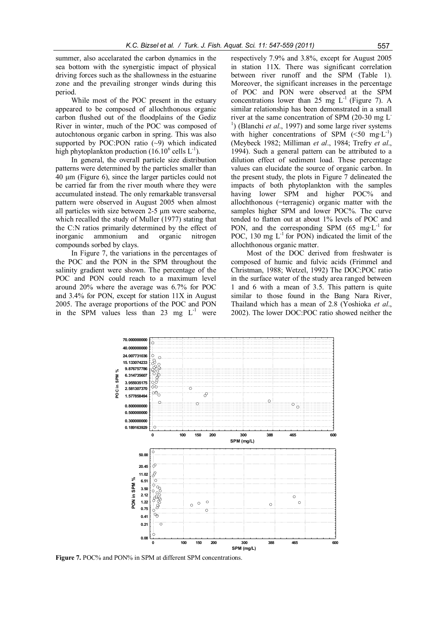summer, also accelarated the carbon dynamics in the sea bottom with the synergistic impact of physical driving forces such as the shallowness in the estuarine zone and the prevailing stronger winds during this period.

While most of the POC present in the estuary appeared to be composed of allochthonous organic carbon flushed out of the floodplains of the Gediz River in winter, much of the POC was composed of autochtonous organic carbon in spring. This was also supported by POC:PON ratio  $(\sim)$  which indicated high phytoplankton production (16.10 $^6$  cells L<sup>-1</sup>).

In general, the overall particle size distribution patterns were determined by the particles smaller than 40 μm (Figure 6), since the larger particles could not be carried far from the river mouth where they were accumulated instead. The only remarkable transversal pattern were observed in August 2005 when almost all particles with size between 2-5 µm were seaborne, which recalled the study of Muller (1977) stating that the C:N ratios primarily determined by the effect of inorganic ammonium and organic nitrogen compounds sorbed by clays.

In Figure 7, the variations in the percentages of the POC and the PON in the SPM throughout the salinity gradient were shown. The percentage of the POC and PON could reach to a maximum level around 20% where the average was 6.7% for POC and 3.4% for PON, except for station 11X in August 2005. The average proportions of the POC and PON in the SPM values less than 23 mg  $L^{-1}$  were

respectively 7.9% and 3.8%, except for August 2005 in station 11X. There was significant correlation between river runoff and the SPM (Table 1). Moreover, the significant increases in the percentage of POC and PON were observed at the SPM concentrations lower than 25 mg  $L^{-1}$  (Figure 7). A similar relationship has been demonstrated in a small river at the same concentration of SPM (20-30 mg L-<sup>1</sup>) (Blanchi *et al.*, 1997) and some large river systems with higher concentrations of SPM  $(\leq 50 \text{ mg} \cdot \text{L}^{-1})$ (Meybeck 1982; Milliman *et al*., 1984; Trefry *et al*., 1994). Such a general pattern can be attributed to a dilution effect of sediment load. These percentage values can elucidate the source of organic carbon. In the present study, the plots in Figure 7 delineated the impacts of both phytoplankton with the samples having lower SPM and higher POC% and allochthonous (=terragenic) organic matter with the samples higher SPM and lower POC%. The curve tended to flatten out at about 1% levels of POC and PON, and the corresponding SPM (65 mg·L<sup>-1</sup> for POC, 130 mg  $L^{-1}$  for PON) indicated the limit of the allochthonous organic matter.

Most of the DOC derived from freshwater is composed of humic and fulvic acids (Frimmel and Christman, 1988; Wetzel, 1992) The DOC:POC ratio in the surface water of the study area ranged between 1 and 6 with a mean of 3.5. This pattern is quite similar to those found in the Bang Nara River, Thailand which has a mean of 2.8 (Yoshioka *et al*., 2002). The lower DOC:POC ratio showed neither the



**Figure 7.** POC% and PON% in SPM at different SPM concentrations.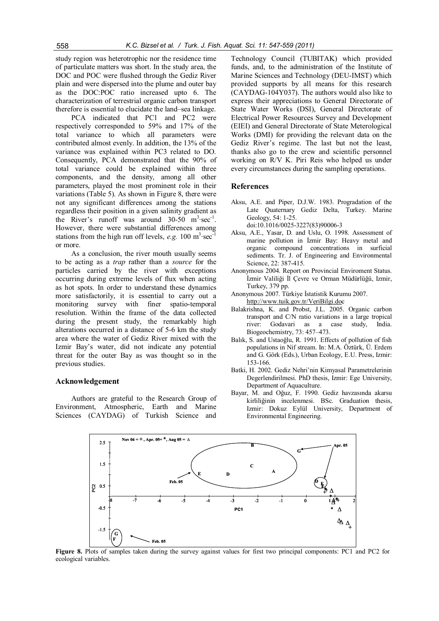study region was heterotrophic nor the residence time of particulate matters was short. In the study area, the DOC and POC were flushed through the Gediz River plain and were dispersed into the plume and outer bay as the DOC:POC ratio increased upto 6. The characterization of terrestrial organic carbon transport therefore is essential to elucidate the land–sea linkage.

PCA indicated that PC1 and PC2 were respectively corresponded to 59% and 17% of the total variance to which all parameters were contributed almost evenly. In addition, the 13% of the variance was explained within PC3 related to DO. Consequently, PCA demonstrated that the 90% of total variance could be explained within three components, and the density, among all other parameters, played the most prominent role in their variations (Table 5). As shown in Figure 8, there were not any significant differences among the stations regardless their position in a given salinity gradient as the River's runoff was around  $30-50$  m<sup>3</sup> $\sec^{-1}$ . However, there were substantial differences among stations from the high run off levels, *e.g.*  $100 \text{ m}^3 \text{·sec}^3$ or more.

As a conclusion, the river mouth usually seems to be acting as a *trap* rather than a *source* for the particles carried by the river with exceptions occurring during extreme levels of flux when acting as hot spots. In order to understand these dynamics more satisfactorily, it is essential to carry out a monitoring survey with finer spatio-temporal resolution. Within the frame of the data collected during the present study, the remarkably high alterations occurred in a distance of 5-6 km the study area where the water of Gediz River mixed with the Izmir Bay's water, did not indicate any potential threat for the outer Bay as was thought so in the previous studies.

# **Acknowledgement**

Authors are grateful to the Research Group of Environment, Atmospheric, Earth and Marine Sciences (CAYDAG) of Turkish Science and

Technology [Council \(TUBITAK\)](http://www.tuik.gov.tr/VeriBilgi.do) which provided funds, and, to the administration of the Institute of Marine Sciences and Technology (DEU-IMST) which provided supports by all means for this research (CAYDAG-104Y037). The authors would also like to express their appreciations to General Directorate of State Water Works (DSI), General Directorate of Electrical Power Resources Survey and Development (EIEI) and General Directorate of State Meterological Works (DMI) for providing the relevant data on the Gediz River's regime. The last but not the least, thanks also go to the crew and scientific personnel working on R/V K. Piri Reis who helped us under every circumstances during the sampling operations.

#### **References**

- Aksu, A.E. and Piper, D.J.W. 1983. Progradation of the Late Quaternary Gediz Delta, Turkey. Marine Geology, 54: 1-25. doi:10.1016/0025-3227(83)90006-3
- Aksu, A.E., Yasar, D. and Uslu, O. 1998. Assessment of marine pollution in İzmir Bay: Heavy metal and organic compound concentrations in surficial sediments. Tr. J. of Engineering and Environmental Science, 22: 387-415.
- Anonymous 2004. Report on Provincial Enviroment Status. İzmir Valiliği İl Çevre ve Orman Müdürlüğü, Izmir, Turkey, 379 pp.
- Anonymous 2007. Türkiye İstatistik Kurumu 2007. <http://www.tuik.gov.tr/VeriBilgi.do>c
- Balakrishna, K. and Probst, J.L. 2005. Organic carbon transport and C/N ratio variations in a large tropical river: Godavari as a case study, India. Biogeochemistry, 73: 457–473.
- Balık, S. and Ustaoğlu, R. 1991. Effects of pollution of fish populations in Nif stream. In: M.A. Öztürk, Ü. Erdem and G. Görk (Eds.), Urban Ecology, E.U. Press, Izmir: 153-166.
- Batki, H. 2002. Gediz Nehri'nin Kimyasal Parametrelerinin Degerlendirilmesi. PhD thesis, Izmir: Ege University, Department of Aquaculture.
- Bayar, M. and Oğuz, F. 1990. Gediz havzasında akarsu kirliliğinin incelenmesi. BSc. Graduation thesis, Izmir: Dokuz Eylül University, Department of Environmental Engineering.



**Figure 8.** Plots of samples taken during the survey against values for first two principal components: PC1 and PC2 for ecological variables.